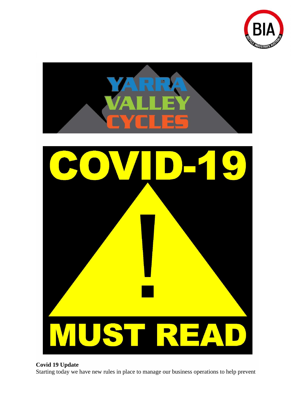



## **Covid 19 Update**

Starting today we have new rules in place to manage our business operations to help prevent